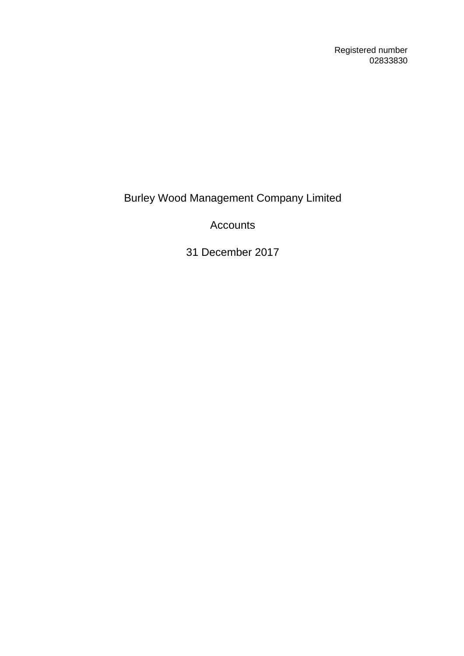Registered number 02833830

Burley Wood Management Company Limited

Accounts

31 December 2017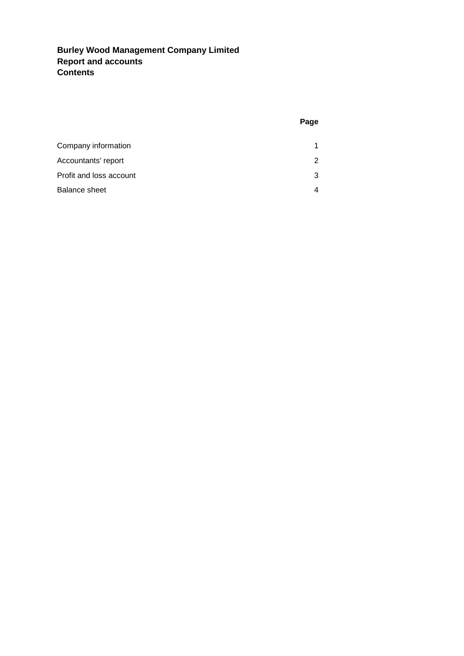## **Burley Wood Management Company Limited Report and accounts Contents**

| Company information     |   |
|-------------------------|---|
| Accountants' report     | 2 |
| Profit and loss account | 3 |
| Balance sheet           |   |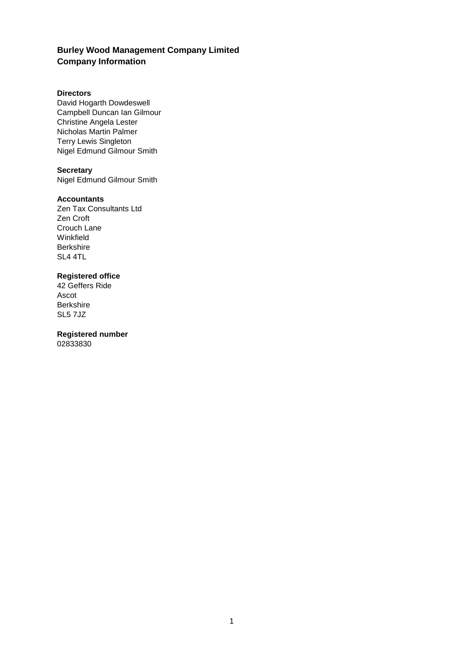## **Burley Wood Management Company Limited Company Information**

#### **Directors**

David Hogarth Dowdeswell Campbell Duncan Ian Gilmour Christine Angela Lester Nicholas Martin Palmer Terry Lewis Singleton Nigel Edmund Gilmour Smith

### **Secretary**

Nigel Edmund Gilmour Smith

#### **Accountants**

Zen Tax Consultants Ltd Zen Croft Crouch Lane Winkfield **Berkshire** SL4 4TL

#### **Registered office**

42 Geffers Ride Ascot Berkshire SL5 7JZ

## **Registered number**

02833830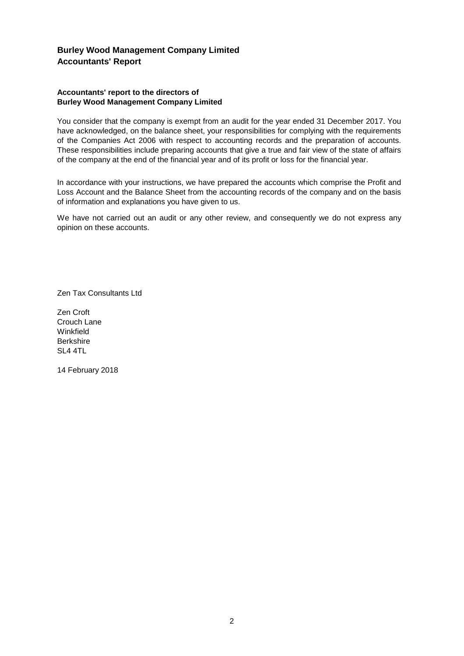### **Burley Wood Management Company Limited Accountants' Report**

#### **Accountants' report to the directors of Burley Wood Management Company Limited**

You consider that the company is exempt from an audit for the year ended 31 December 2017. You have acknowledged, on the balance sheet, your responsibilities for complying with the requirements of the Companies Act 2006 with respect to accounting records and the preparation of accounts. These responsibilities include preparing accounts that give a true and fair view of the state of affairs of the company at the end of the financial year and of its profit or loss for the financial year.

In accordance with your instructions, we have prepared the accounts which comprise the Profit and Loss Account and the Balance Sheet from the accounting records of the company and on the basis of information and explanations you have given to us.

We have not carried out an audit or any other review, and consequently we do not express any opinion on these accounts.

Zen Tax Consultants Ltd

Zen Croft Crouch Lane **Winkfield Berkshire** SL4 4TL

14 February 2018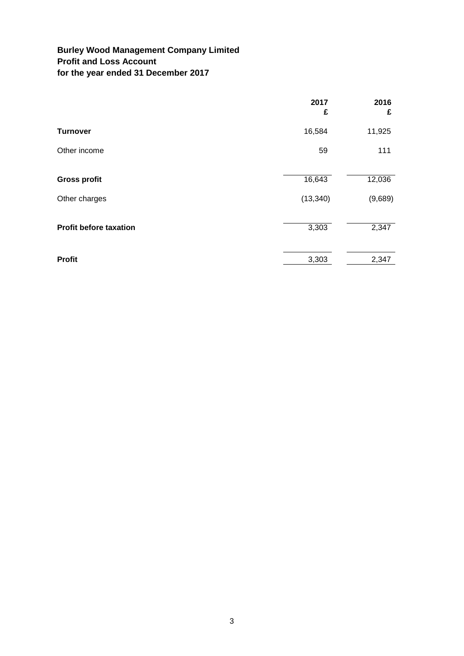## **Burley Wood Management Company Limited Profit and Loss Account for the year ended 31 December 2017**

|                               | 2017<br>£ | 2016<br>£ |
|-------------------------------|-----------|-----------|
| <b>Turnover</b>               | 16,584    | 11,925    |
| Other income                  | 59        | 111       |
| <b>Gross profit</b>           | 16,643    | 12,036    |
| Other charges                 | (13, 340) | (9,689)   |
| <b>Profit before taxation</b> | 3,303     | 2,347     |
| <b>Profit</b>                 | 3,303     | 2,347     |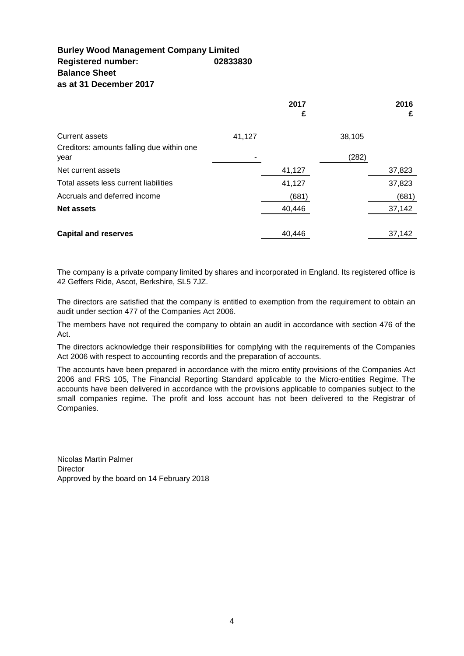### **Burley Wood Management Company Limited Registered number: 02833830 Balance Sheet as at 31 December 2017**

|                                                   |        | 2017<br>£ |        | 2016<br>£ |
|---------------------------------------------------|--------|-----------|--------|-----------|
| <b>Current assets</b>                             | 41,127 |           | 38,105 |           |
| Creditors: amounts falling due within one<br>year |        |           | (282)  |           |
| Net current assets                                |        | 41,127    |        | 37,823    |
| Total assets less current liabilities             |        | 41,127    |        | 37,823    |
| Accruals and deferred income                      |        | (681)     |        | (681)     |
| <b>Net assets</b>                                 |        | 40,446    |        | 37,142    |
| <b>Capital and reserves</b>                       |        | 40.446    |        | 37,142    |

The company is a private company limited by shares and incorporated in England. Its registered office is 42 Geffers Ride, Ascot, Berkshire, SL5 7JZ.

The directors are satisfied that the company is entitled to exemption from the requirement to obtain an audit under section 477 of the Companies Act 2006.

The members have not required the company to obtain an audit in accordance with section 476 of the Act.

The directors acknowledge their responsibilities for complying with the requirements of the Companies Act 2006 with respect to accounting records and the preparation of accounts.

The accounts have been prepared in accordance with the micro entity provisions of the Companies Act 2006 and FRS 105, The Financial Reporting Standard applicable to the Micro-entities Regime. The accounts have been delivered in accordance with the provisions applicable to companies subject to the small companies regime. The profit and loss account has not been delivered to the Registrar of Companies.

Nicolas Martin Palmer **Director** Approved by the board on 14 February 2018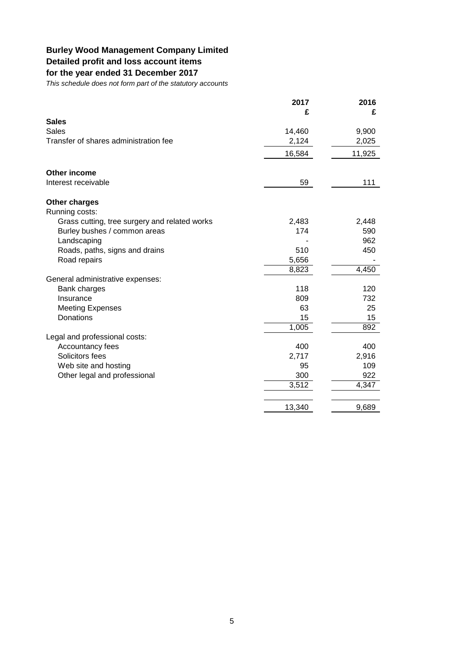# **Burley Wood Management Company Limited**

# **Detailed profit and loss account items**

# **for the year ended 31 December 2017**

*This schedule does not form part of the statutory accounts*

|                                               | 2017   | 2016   |
|-----------------------------------------------|--------|--------|
|                                               | £      | £      |
| <b>Sales</b>                                  |        |        |
| <b>Sales</b>                                  | 14,460 | 9,900  |
| Transfer of shares administration fee         | 2,124  | 2,025  |
|                                               | 16,584 | 11,925 |
| Other income                                  |        |        |
| Interest receivable                           | 59     | 111    |
| <b>Other charges</b>                          |        |        |
| Running costs:                                |        |        |
| Grass cutting, tree surgery and related works | 2,483  | 2,448  |
| Burley bushes / common areas                  | 174    | 590    |
| Landscaping                                   |        | 962    |
| Roads, paths, signs and drains                | 510    | 450    |
| Road repairs                                  | 5,656  |        |
|                                               | 8,823  | 4,450  |
| General administrative expenses:              |        |        |
| Bank charges                                  | 118    | 120    |
| Insurance                                     | 809    | 732    |
| <b>Meeting Expenses</b>                       | 63     | 25     |
| <b>Donations</b>                              | 15     | 15     |
|                                               | 1,005  | 892    |
| Legal and professional costs:                 |        |        |
| Accountancy fees                              | 400    | 400    |
| Solicitors fees                               | 2,717  | 2,916  |
| Web site and hosting                          | 95     | 109    |
| Other legal and professional                  | 300    | 922    |
|                                               | 3,512  | 4,347  |
|                                               | 13,340 | 9,689  |